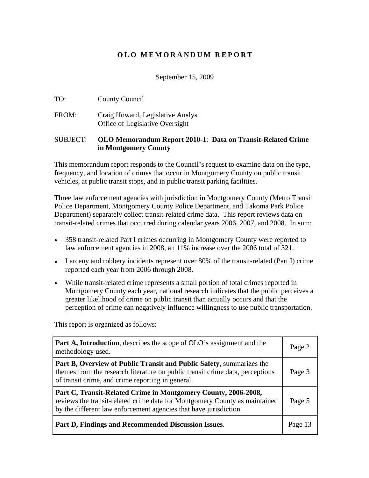## **O L O M E M O R A N D U M R E P O R T**

September 15, 2009

- TO: County Council
- FROM: Craig Howard, Legislative Analyst Office of Legislative Oversight

#### SUBJECT: **OLO Memorandum Report 2010-1**: **Data on Transit-Related Crime in Montgomery County**

This memorandum report responds to the Council's request to examine data on the type, frequency, and location of crimes that occur in Montgomery County on public transit vehicles, at public transit stops, and in public transit parking facilities.

Three law enforcement agencies with jurisdiction in Montgomery County (Metro Transit Police Department, Montgomery County Police Department, and Takoma Park Police Department) separately collect transit-related crime data. This report reviews data on transit-related crimes that occurred during calendar years 2006, 2007, and 2008. In sum:

- 358 transit-related Part I crimes occurring in Montgomery County were reported to law enforcement agencies in 2008, an 11% increase over the 2006 total of 321.
- Larceny and robbery incidents represent over 80% of the transit-related (Part I) crime reported each year from 2006 through 2008.
- While transit-related crime represents a small portion of total crimes reported in Montgomery County each year, national research indicates that the public perceives a greater likelihood of crime on public transit than actually occurs and that the perception of crime can negatively influence willingness to use public transportation.

This report is organized as follows:

| <b>Part A, Introduction</b> , describes the scope of OLO's assignment and the<br>methodology used.                                                                                                                           | Page 2  |
|------------------------------------------------------------------------------------------------------------------------------------------------------------------------------------------------------------------------------|---------|
| <b>Part B, Overview of Public Transit and Public Safety, summarizes the</b><br>themes from the research literature on public transit crime data, perceptions<br>of transit crime, and crime reporting in general.            | Page 3  |
| Part C, Transit-Related Crime in Montgomery County, 2006-2008,<br>  reviews the transit-related crime data for Montgomery County as maintained   Page 5<br>by the different law enforcement agencies that have jurisdiction. |         |
| <b>Part D, Findings and Recommended Discussion Issues.</b>                                                                                                                                                                   | Page 13 |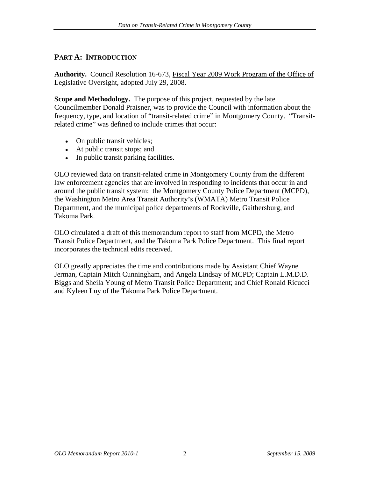# **PART A: INTRODUCTION**

**Authority.** Council Resolution 16-673, Fiscal Year 2009 Work Program of the Office of Legislative Oversight, adopted July 29, 2008.

**Scope and Methodology.** The purpose of this project, requested by the late Councilmember Donald Praisner, was to provide the Council with information about the frequency, type, and location of "transit-related crime" in Montgomery County. "Transitrelated crime" was defined to include crimes that occur:

- On public transit vehicles;
- At public transit stops; and **At all and At all analyzing structure**  $\mathbf{A}$  and  $\mathbf{A}$  and  $\mathbf{A}$  and  $\mathbf{A}$  and  $\mathbf{A}$  and  $\mathbf{A}$  and  $\mathbf{A}$  and  $\mathbf{A}$  and  $\mathbf{A}$  and  $\mathbf{A}$  and  $\mathbf{A}$  and  $\mathbf{A}$  a
- In public transit parking facilities.

OLO reviewed data on transit-related crime in Montgomery County from the different law enforcement agencies that are involved in responding to incidents that occur in and around the public transit system: the Montgomery County Police Department (MCPD), the Washington Metro Area Transit Authority's (WMATA) Metro Transit Police Department, and the municipal police departments of Rockville, Gaithersburg, and Takoma Park.

OLO circulated a draft of this memorandum report to staff from MCPD, the Metro Transit Police Department, and the Takoma Park Police Department. This final report incorporates the technical edits received.

OLO greatly appreciates the time and contributions made by Assistant Chief Wayne Jerman, Captain Mitch Cunningham, and Angela Lindsay of MCPD; Captain L.M.D.D. Biggs and Sheila Young of Metro Transit Police Department; and Chief Ronald Ricucci and Kyleen Luy of the Takoma Park Police Department.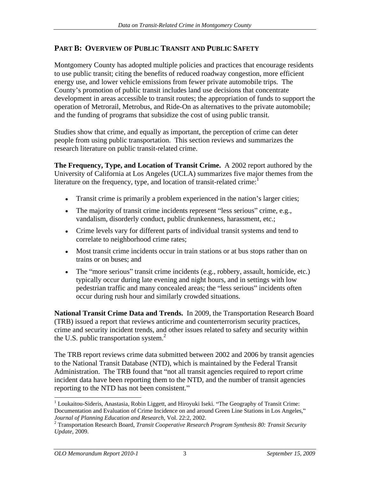# **PART B: OVERVIEW OF PUBLIC TRANSIT AND PUBLIC SAFETY**

Montgomery County has adopted multiple policies and practices that encourage residents to use public transit; citing the benefits of reduced roadway congestion, more efficient energy use, and lower vehicle emissions from fewer private automobile trips. The County's promotion of public transit includes land use decisions that concentrate development in areas accessible to transit routes; the appropriation of funds to support the operation of Metrorail, Metrobus, and Ride-On as alternatives to the private automobile; and the funding of programs that subsidize the cost of using public transit.

Studies show that crime, and equally as important, the perception of crime can deter people from using public transportation. This section reviews and summarizes the research literature on public transit-related crime.

**The Frequency, Type, and Location of Transit Crime.** A 2002 report authored by the University of California at Los Angeles (UCLA) summarizes five major themes from the literature on the frequency, type, and location of transit-related crime: $<sup>1</sup>$ </sup>

- $\bullet$  Transit crime is primarily a problem experienced in the nation's larger cities;
- The majority of transit crime incidents represent "less serious" crime, e.g., vandalism, disorderly conduct, public drunkenness, harassment, etc.;
- Crime levels vary for different parts of individual transit systems and tend to correlate to neighborhood crime rates;
- Most transit crime incidents occur in train stations or at bus stops rather than on trains or on buses; and
- $\bullet$  The "more serious" transit crime incidents (e.g., robbery, assault, homicide, etc.) typically occur during late evening and night hours, and in settings with low pedestrian traffic and many concealed areas; the "less serious" incidents often occur during rush hour and similarly crowded situations.

**National Transit Crime Data and Trends.** In 2009, the Transportation Research Board (TRB) issued a report that reviews anticrime and counterterrorism security practices, crime and security incident trends, and other issues related to safety and security within the U.S. public transportation system.<sup>2</sup>

The TRB report reviews crime data submitted between 2002 and 2006 by transit agencies to the National Transit Database (NTD), which is maintained by the Federal Transit Administration. The TRB found that "not all transit agencies required to report crime incident data have been reporting them to the NTD, and the number of transit agencies reporting to the NTD has not been consistent.

 $1$  Loukaitou-Sideris, Anastasia, Robin Liggett, and Hiroyuki Iseki. "The Geography of Transit Crime: Documentation and Evaluation of Crime Incidence on and around Green Line Stations in Los Angeles,

*Journal of Planning Education and Research*, Vol. 22:2, 2002. <sup>2</sup> Transportation Research Board, *Transit Cooperative Research Program Synthesis 80: Transit Security Update*, 2009.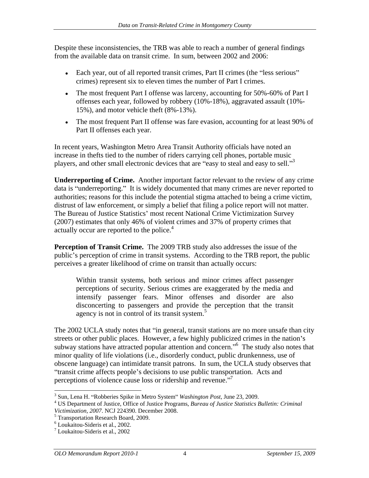Despite these inconsistencies, the TRB was able to reach a number of general findings from the available data on transit crime. In sum, between 2002 and 2006:

- Each year, out of all reported transit crimes, Part II crimes (the "less serious" crimes) represent six to eleven times the number of Part I crimes.
- The most frequent Part I offense was larceny, accounting for 50%-60% of Part I offenses each year, followed by robbery (10%-18%), aggravated assault (10%- 15%), and motor vehicle theft (8%-13%).
- The most frequent Part II offense was fare evasion, accounting for at least 90% of Part II offenses each year.

In recent years, Washington Metro Area Transit Authority officials have noted an increase in thefts tied to the number of riders carrying cell phones, portable music players, and other small electronic devices that are "easy to steal and easy to sell."<sup>3</sup>

**Underreporting of Crime.** Another important factor relevant to the review of any crime data is "underreporting." It is widely documented that many crimes are never reported to authorities; reasons for this include the potential stigma attached to being a crime victim, distrust of law enforcement, or simply a belief that filing a police report will not matter. The Bureau of Justice Statistics' most recent National Crime Victimization Survey (2007) estimates that only 46% of violent crimes and 37% of property crimes that actually occur are reported to the police.<sup>4</sup>

**Perception of Transit Crime.** The 2009 TRB study also addresses the issue of the public's perception of crime in transit systems. According to the TRB report, the public perceives a greater likelihood of crime on transit than actually occurs:

Within transit systems, both serious and minor crimes affect passenger perceptions of security. Serious crimes are exaggerated by the media and intensify passenger fears. Minor offenses and disorder are also disconcerting to passengers and provide the perception that the transit agency is not in control of its transit system. $5$ 

The 2002 UCLA study notes that "in general, transit stations are no more unsafe than city streets or other public places. However, a few highly publicized crimes in the nation's subway stations have attracted popular attention and concern."<sup>6</sup> The study also notes that minor quality of life violations (i.e., disorderly conduct, public drunkenness, use of obscene language) can intimidate transit patrons. In sum, the UCLA study observes that "transit crime affects people's decisions to use public transportation. Acts and perceptions of violence cause loss or ridership and revenue."

<sup>&</sup>lt;sup>3</sup> Sun, Lena H. "Robberies Spike in Metro System" *Washington Post*, June 23, 2009.<br><sup>4</sup> US Dopertment of Justice, Office of Justice Programs, *Puneau of Justice Statistice Pullating Criminal* 

US Department of Justice, Office of Justice Programs, *Bureau of Justice Statistics Bulletin: Criminal Victimization, 2007*. NCJ 224390. December 2008. <sup>5</sup>

<sup>&</sup>lt;sup>5</sup> Transportation Research Board, 2009.<br><sup>6</sup> Loukaitou-Sideris et al., 2002.<br><sup>7</sup> Loukaitou-Sideris et al., 2002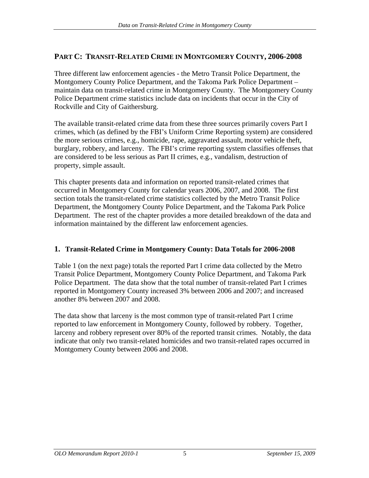# **PART C: TRANSIT-RELATED CRIME IN MONTGOMERY COUNTY, 2006-2008**

Three different law enforcement agencies - the Metro Transit Police Department, the Montgomery County Police Department, and the Takoma Park Police Department maintain data on transit-related crime in Montgomery County. The Montgomery County Police Department crime statistics include data on incidents that occur in the City of Rockville and City of Gaithersburg.

The available transit-related crime data from these three sources primarily covers Part I crimes, which (as defined by the FBI s Uniform Crime Reporting system) are considered the more serious crimes, e.g., homicide, rape, aggravated assault, motor vehicle theft, burglary, robbery, and larceny. The FBI's crime reporting system classifies offenses that are considered to be less serious as Part II crimes, e.g., vandalism, destruction of property, simple assault.

This chapter presents data and information on reported transit-related crimes that occurred in Montgomery County for calendar years 2006, 2007, and 2008. The first section totals the transit-related crime statistics collected by the Metro Transit Police Department, the Montgomery County Police Department, and the Takoma Park Police Department. The rest of the chapter provides a more detailed breakdown of the data and information maintained by the different law enforcement agencies.

## **1. Transit-Related Crime in Montgomery County: Data Totals for 2006-2008**

Table 1 (on the next page) totals the reported Part I crime data collected by the Metro Transit Police Department, Montgomery County Police Department, and Takoma Park Police Department. The data show that the total number of transit-related Part I crimes reported in Montgomery County increased 3% between 2006 and 2007; and increased another 8% between 2007 and 2008.

The data show that larceny is the most common type of transit-related Part I crime reported to law enforcement in Montgomery County, followed by robbery. Together, larceny and robbery represent over 80% of the reported transit crimes. Notably, the data indicate that only two transit-related homicides and two transit-related rapes occurred in Montgomery County between 2006 and 2008.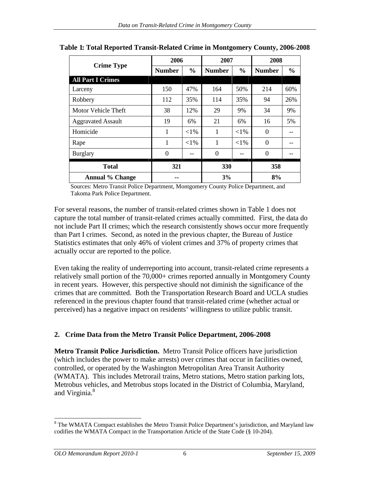|                          | 2006          | 2007                    |              | 2008   |
|--------------------------|---------------|-------------------------|--------------|--------|
| <b>Crime Type</b>        | <b>Number</b> | $\%$ Number $\%$ Number |              |        |
| <b>All Part I Crimes</b> |               |                         |              |        |
| Larceny                  | 150 47%       | 104                     | $1.50\%$     | $60\%$ |
| Robbery                  | 112           | 111                     | 35%          |        |
| Motor Vehicle Theft      | $\sim$        |                         |              |        |
| Aggravated Assault       | 19<br>$6\%$   |                         |              |        |
| Homicide                 | $ $ <1%       |                         | ${<}1\%$     |        |
| kape                     | $ $ <1% $ $   |                         | $\langle$ 10 |        |
| urglary                  |               |                         |              |        |
| <b>Total</b>             | 321           | 220                     |              | 358    |
| <b>Annual % Change</b>   | $\sim$        | J/0                     |              | 8%     |

| Table 1: Total Reported Transit-Related Crime in Montgomery<br>v County, 2006-2008 |  |  |  |
|------------------------------------------------------------------------------------|--|--|--|
|                                                                                    |  |  |  |

Sources: Metro Transit Police Department, Montgomery County Police Department, and Takoma Park Police Department.

For several reasons, the number of transit-related crimes shown in Table 1 does not capture the total number of transit-related crimes actually committed. First, the data do not include Part II crimes; which the research consistently shows occur more frequently than Part I crimes. Second, as noted in the previous chapter, the Bureau of Justice Statistics estimates that only 46% of violent crimes and 37% of property crimes that actually occur are reported to the police.

Even taking the reality of underreporting into account, transit-related crime represents a relatively small portion of the 70,000+ crimes reported annually in Montgomery County in recent years. However, this perspective should not diminish the significance of the crimes that are committed. Both the Transportation Research Board and UCLA studies referenced in the previous chapter found that transit-related crime (whether actual or perceived) has a negative impact on residents' willingness to utilize public transit.

## **2. Crime Data from the Metro Transit Police Department, 2006-2008**

**Metro Transit Police Jurisdiction.** Metro Transit Police officers have jurisdiction (which includes the power to make arrests) over crimes that occur in facilities owned, controlled, or operated by the Washington Metropolitan Area Transit Authority (WMATA). This includes Metrorail trains, Metro stations, Metro station parking lots, Metrobus vehicles, and Metrobus stops located in the District of Columbia, Maryland, and Virginia.<sup>8</sup>

<sup>&</sup>lt;sup>8</sup> The WMATA Compact establishes the Metro Transit Police Department's jurisdiction, and Maryland law codifies the WMATA Compact in the Transportation Article of the State Code (§ 10-204).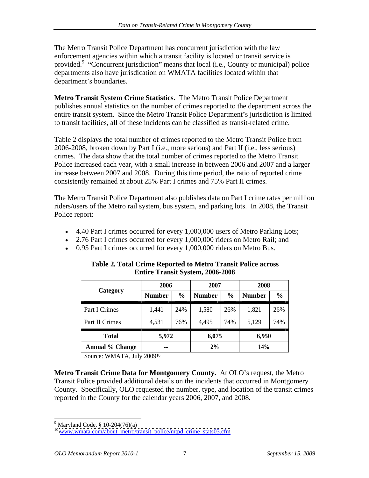The Metro Transit Police Department has concurrent jurisdiction with the law enforcement agencies within which a transit facility is located or transit service is provided.<sup>9</sup> "Concurrent jurisdiction" means that local (i.e., County or municipal) police departments also have jurisdication on WMATA facilities located within that department's boundaries.

**Metro Transit System Crime Statistics.** The Metro Transit Police Department publishes annual statistics on the number of crimes reported to the department across the entire transit system. Since the Metro Transit Police Department's jurisdiction is limited to transit facilities, all of these incidents can be classified as transit-related crime.

Table 2 displays the total number of crimes reported to the Metro Transit Police from 2006-2008, broken down by Part I (i.e., more serious) and Part II (i.e., less serious) crimes. The data show that the total number of crimes reported to the Metro Transit Police increased each year, with a small increase in between 2006 and 2007 and a larger increase between 2007 and 2008. During this time period, the ratio of reported crime consistently remained at about 25% Part I crimes and 75% Part II crimes.

The Metro Transit Police Department also publishes data on Part I crime rates per million riders/users of the Metro rail system, bus system, and parking lots. In 2008, the Transit Police report:

- 4.40 Part I crimes occurred for every 1,000,000 users of Metro Parking Lots;
- 2.76 Part I crimes occurred for every 1,000,000 riders on Metro Rail; and
- 0.95 Part I crimes occurred for every 1,000,000 riders on Metro Bus.

|                        | 2006                          |                                          |                 |                | 2008   |
|------------------------|-------------------------------|------------------------------------------|-----------------|----------------|--------|
| <b>Category</b>        | Number                        | $\mathbf{v}_2$   Number   $\mathbf{v}_2$ |                 | %   Number     |        |
| Part I Crimes          | 1,441                         |                                          | 1,580<br>$\sim$ | 1,821          | 2.0 YO |
| Part II Crimes         | $\sim$ $\sim$ $\sim$<br>4,531 | 4.499                                    | .<br>740/       | 5.100<br>し、エムフ | l 74%  |
| <b>Total</b>           | 5,972                         |                                          | 6,075           |                | 6,950  |
| <b>Annual % Change</b> |                               |                                          | $2\%$           |                | 14%    |

**Table 2. Total Crime Reported to Metro Transit Police across Entire Transit System, 2006-2008**

Source: WMATA, July 200910

**Metro Transit Crime Data for Montgomery County.** At OLO's request, the Metro Transit Police provided additional details on the incidents that occurred in Montgomery County. Specifically, OLO requested the number, type, and location of the transit crimes reported in the County for the calendar years 2006, 2007, and 2008.

 $\frac{9 \text{Marilend Code } 8.10.204(76)(6)}$ 

<sup>&</sup>lt;sup>9</sup> Maryland Code, § 10-204(76)(a)<br><sup>10</sup> [www.wmata.com/about\\_metro/transit\\_police/mtpd\\_crime\\_stats03.cfm](http://www.wmata.com/about_metro/transit_police/mtpd_crime_stats03.cfm)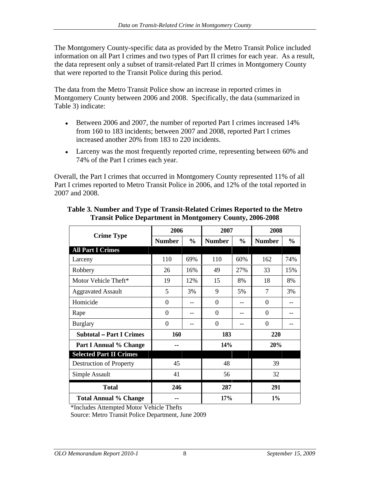The Montgomery County-specific data as provided by the Metro Transit Police included information on all Part I crimes and two types of Part II crimes for each year. As a result, the data represent only a subset of transit-related Part II crimes in Montgomery County that were reported to the Transit Police during this period.

The data from the Metro Transit Police show an increase in reported crimes in Montgomery County between 2006 and 2008. Specifically, the data (summarized in Table 3) indicate:

- Between 2006 and 2007, the number of reported Part I crimes increased 14% from 160 to 183 incidents; between 2007 and 2008, reported Part I crimes increased another 20% from 183 to 220 incidents.
- Larceny was the most frequently reported crime, representing between 60% and 74% of the Part I crimes each year.

Overall, the Part I crimes that occurred in Montgomery County represented 11% of all Part I crimes reported to Metro Transit Police in 2006, and 12% of the total reported in 2007 and 2008.

| <b>Crime Type</b>               | 2006          |             | 2007                                          | 2008               |      |
|---------------------------------|---------------|-------------|-----------------------------------------------|--------------------|------|
|                                 | <b>Number</b> |             | $\vert %$   Number $\vert %$   Number $\vert$ |                    |      |
| <b>All Part I Crimes</b>        |               |             |                                               |                    |      |
| Larceny                         | 110 69%       |             | 110<br>60%                                    | 162                | 74%  |
| Robbery                         | $\Omega$      | 16%         |                                               | $\Omega$           | 15%  |
| Motor Vehicle Theft*            | 19            | 12%         | $\sim$<br>- 8%                                | 10 <sup>1</sup>    | l 8% |
| <b>Aggravated Assault</b>       |               | 3%          |                                               |                    |      |
| Homicide                        |               | $- - -$     |                                               |                    |      |
| Rape                            |               | $\sim$ $ -$ |                                               |                    |      |
| Burglary                        |               |             |                                               |                    |      |
| <b>Subtotal – Part I Crimes</b> | 160           |             | 183                                           | 220                |      |
| <b>Part I Annual % Change</b>   | $  -$         |             | 14%                                           | 20%                |      |
| <b>Selected Part II Crimes</b>  |               |             |                                               |                    |      |
| Destruction of Property         | 45            |             |                                               |                    |      |
| Simple Assault                  | 41            |             | <b>JU</b>                                     | 22<br>$J\Delta$    |      |
| <b>Total</b>                    | 246           |             | 287                                           | 201<br>$\angle 21$ |      |
| <b>Total Annual % Change</b>    |               |             | 17%                                           | $1\%$              |      |

#### **Table 3. Number and Type of Transit-Related Crimes Reported to the Metro Transit Police Department in Montgomery County, 2006-2008**

\*Includes Attempted Motor Vehicle Thefts

Source: Metro Transit Police Department, June 2009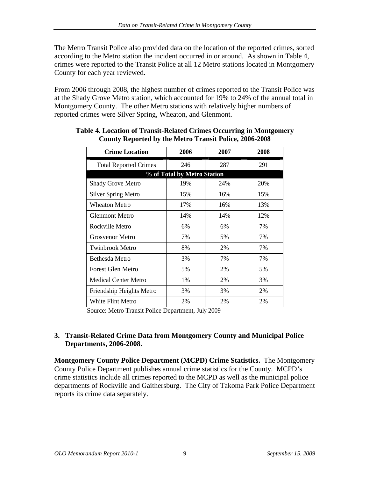The Metro Transit Police also provided data on the location of the reported crimes, sorted according to the Metro station the incident occurred in or around. As shown in Table 4, crimes were reported to the Transit Police at all 12 Metro stations located in Montgomery County for each year reviewed.

From 2006 through 2008, the highest number of crimes reported to the Transit Police was at the Shady Grove Metro station, which accounted for 19% to 24% of the annual total in Montgomery County. The other Metro stations with relatively higher numbers of reported crimes were Silver Spring, Wheaton, and Glenmont.

| <b>Crime Location</b>        | 2006                        | 2007 | 2008 |
|------------------------------|-----------------------------|------|------|
| <b>Total Reported Crimes</b> | 246                         | 287  | 291  |
|                              | % of Total by Metro Station |      |      |
| Shady Grove Metro            | 19%                         | 24%  | 20%  |
| Silver Spring Metro          | 15%                         | 16%  | 15%  |
| Wheaton Metro                | 17%                         | 16%  | 13%  |
| <b>Glenmont Metro</b>        | 14%                         | 14%  | 12%  |
| Rockville Metro              | 6%                          | 6%   | 7%   |
| <b>Grosvenor Metro</b>       | 7%                          | 5%   | 7%   |
| Twinbrook Metro              | 8%                          | 2%   | 7%   |
| Bethesda Metro               | 3%                          | 7%   | 7%   |
| Forest Glen Metro            | 5%                          | 2%   | 5%   |
| Medical Center Metro         | 1%                          | 2%   | 3%   |
| Friendship Heights Metro     | 3%                          | 3%   | 2%   |
| White Flint Metro            | 2%                          | 2%   | 2%   |

## **Table 4. Location of Transit-Related Crimes Occurring in Montgomery County Reported by the Metro Transit Police, 2006-2008**

Source: Metro Transit Police Department, July 2009

#### **3. Transit-Related Crime Data from Montgomery County and Municipal Police Departments, 2006-2008.**

**Montgomery County Police Department (MCPD) Crime Statistics.** The Montgomery County Police Department publishes annual crime statistics for the County. MCPD's crime statistics include all crimes reported to the MCPD as well as the municipal police departments of Rockville and Gaithersburg. The City of Takoma Park Police Department reports its crime data separately.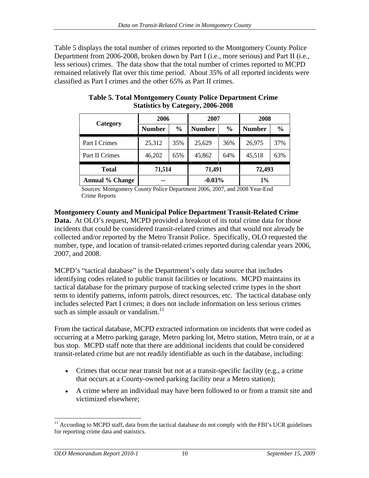Table 5 displays the total number of crimes reported to the Montgomery County Police Department from 2006-2008, broken down by Part I (i.e., more serious) and Part II (i.e., less serious) crimes. The data show that the total number of crimes reported to MCPD remained relatively flat over this time period. About 35% of all reported incidents were classified as Part I crimes and the other 65% as Part II crimes.

|                        |               | 2007            | <b>A000</b>             |
|------------------------|---------------|-----------------|-------------------------|
| <b>Category</b>        | <b>Number</b> | $\%$   Number   | 6 Number                |
| Part I Crimes          | 25,312        | 25,629<br>35% L | 36% 26,975 37%          |
| Part II Crimes         |               |                 |                         |
| Total                  | 71,514        | 71,491          | 72,493                  |
| <b>Annual % Change</b> | $\sim$        | $-0.03\%$       | $\overline{a}$<br>$1\%$ |

**Table 5. Total Montgomery County Police Department Crime Statistics by Category, 2006-2008**

Sources: Montgomery County Police Department 2006, 2007, and 2008 Year-End Crime Reports

**Montgomery County and Municipal Police Department Transit-Related Crime Data.** At OLO's request, MCPD provided a breakout of its total crime data for those incidents that could be considered transit-related crimes and that would not already be collected and/or reported by the Metro Transit Police. Specifically, OLO requested the number, type, and location of transit-related crimes reported during calendar years 2006, 2007, and 2008.

MCPD's "tactical database" is the Department's only data source that includes identifying codes related to public transit facilities or locations. MCPD maintains its tactical database for the primary purpose of tracking selected crime types in the short term to identify patterns, inform patrols, direct resources, etc. The tactical database only includes selected Part I crimes; it does not include information on less serious crimes such as simple assault or vandalism. $^{11}$ 

From the tactical database, MCPD extracted information on incidents that were coded as occurring at a Metro parking garage, Metro parking lot, Metro station, Metro train, or at a bus stop. MCPD staff note that there are additional incidents that could be considered transit-related crime but are not readily identifiable as such in the database, including:

- Crimes that occur near transit but not at a transit-specific facility (e.g., a crime that occurs at a County-owned parking facility near a Metro station);
- A crime where an individual may have been followed to or from a transit site and victimized elsewhere;

 $11$  According to MCPD staff, data from the tactical database do not comply with the FBI's UCR guidelines for reporting crime data and statistics.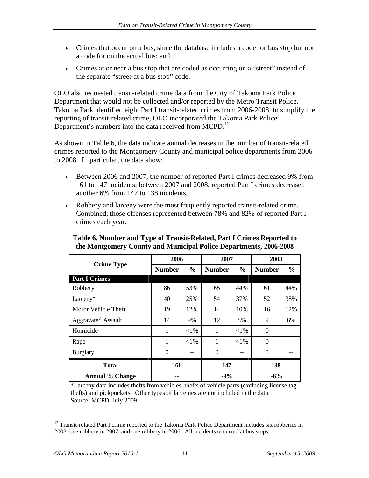- Crimes that occur on a bus, since the database includes a code for bus stop but not a code for on the actual bus; and
- Crimes at or near a bus stop that are coded as occurring on a "street" instead of the separate "street-at a bus stop" code.

OLO also requested transit-related crime data from the City of Takoma Park Police Department that would not be collected and/or reported by the Metro Transit Police. Takoma Park identified eight Part I transit-related crimes from 2006-2008; to simplify the reporting of transit-related crime, OLO incorporated the Takoma Park Police Department's numbers into the data received from MCPD.<sup>12</sup>

As shown in Table 6, the data indicate annual decreases in the number of transit-related crimes reported to the Montgomery County and municipal police departments from 2006 to 2008. In particular, the data show:

- Between 2006 and 2007, the number of reported Part I crimes decreased 9% from 161 to 147 incidents; between 2007 and 2008, reported Part I crimes decreased another 6% from 147 to 138 incidents.
- Robbery and larceny were the most frequently reported transit-related crime. Combined, those offenses represented between 78% and 82% of reported Part I crimes each year.

|                        | 2006                                      | 2007   | 2008                                    |
|------------------------|-------------------------------------------|--------|-----------------------------------------|
| <b>Crime Type</b>      | Number                                    |        | $\%$   Number   $\%$   Number           |
| <b>Part I Crimes</b>   |                                           |        |                                         |
| Robbery                | - 539                                     | - 44%  | 44%                                     |
| Larceny*               | $\Lambda$ $\Lambda$<br>250/<br>4V<br>ر پر |        | 52<br>- 38%<br>$\overline{\phantom{a}}$ |
| Motor Vehicle Theft    | 19<br>$\mid$ 12%                          |        | 12%                                     |
| Aggravated Assault     | 14<br>9%                                  |        | - 6%                                    |
| Homicide               |                                           |        |                                         |
| Rape                   | ${<}1\%$                                  |        |                                         |
| Burglary               |                                           |        |                                         |
| <b>Total</b>           |                                           | 147    | 138                                     |
| <b>Annual % Change</b> | $\sim$ 100 $\sim$                         | $-9\%$ | $-6\%$                                  |

## **Table 6. Number and Type of Transit-Related, Part I Crimes Reported to the Montgomery County and Municipal Police Departments, 2006-2008**

\*Larceny data includes thefts from vehicles, thefts of vehicle parts (excluding license tag thefts) and pickpockets. Other types of larcenies are not included in the data. Source: MCPD, July 2009

<sup>&</sup>lt;sup>12</sup> Transit-related Part I crime reported to the Takoma Park Police Department includes six robberies in 2008, one robbery in 2007, and one robbery in 2006. All incidents occurred at bus stops.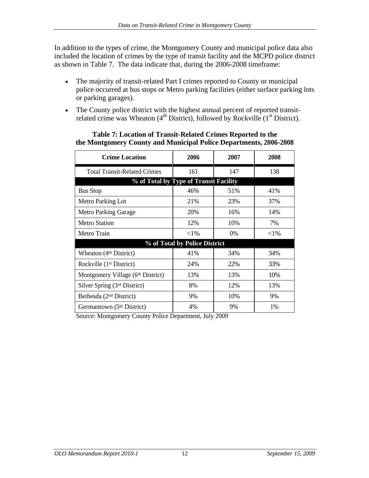In addition to the types of crime, the Montgomery County and municipal police data also included the location of crimes by the type of transit facility and the MCPD police district as shown in Table 7. The data indicate that, during the 2006-2008 timeframe:

- The majority of transit-related Part I crimes reported to County or municipal  $\bullet$ police occurred at bus stops or Metro parking facilities (either surface parking lots or parking garages).
- The County police district with the highest annual percent of reported transit- $\bullet$ related crime was Wheaton  $(4<sup>th</sup> District)$ , followed by Rockville  $(1<sup>st</sup> District)$ .

| <b>Crime Location</b>                 | 2006                                   | 2007  | 2008   |
|---------------------------------------|----------------------------------------|-------|--------|
| <b>Total Transit-Related Crimes</b>   | $1\leq 1$                              | 14.   | 138    |
|                                       | % of Total by Type of Transit Facility |       |        |
| <b>Bus Stop</b>                       | 46%                                    | 51%   | 41%    |
| Metro Parking Lot                     | 21%                                    | 23%   | 37%    |
| Metro Parking Garage                  | 20%                                    | 16%   | 14%    |
| Metro Station                         | 12%                                    | 10%   | 7%     |
| Metro Train                           | $<$ 1%                                 | $0\%$ | $<$ 1% |
|                                       | % of Total by Police District          |       |        |
| Wheaton (4 <sup>th</sup> District)    | 41%                                    | 34%   | 34%    |
| Rockville (1 <sup>st</sup> District)  | 24%                                    | 22%   | 33%    |
| Montgomery Village (6th District)     | 13%                                    | 13%   | 10%    |
| Silver Spring (3rd District)          | 8%                                     | 12%   | 13%    |
| Bethesda (2 <sup>nd</sup> District)   | 9%                                     | 10%   | 9%     |
| Germantown (5 <sup>th</sup> District) | 4%                                     | 9%    | 1%     |

#### **Table 7: Location of Transit-Related Crimes Reported to the the Montgomery County and Municipal Police Departments, 2006-2008**

Source: Montgomery County Police Department, July 2009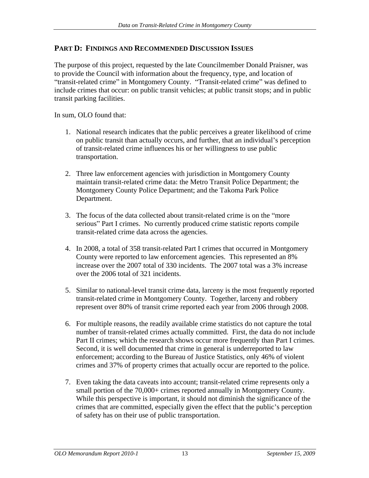## **PART D: FINDINGS AND RECOMMENDED DISCUSSION ISSUES**

The purpose of this project, requested by the late Councilmember Donald Praisner, was to provide the Council with information about the frequency, type, and location of "transit-related crime" in Montgomery County. "Transit-related crime" was defined to include crimes that occur: on public transit vehicles; at public transit stops; and in public transit parking facilities.

In sum, OLO found that:

- 1. National research indicates that the public perceives a greater likelihood of crime on public transit than actually occurs, and further, that an individual's perception of transit-related crime influences his or her willingness to use public transportation.
- 2. Three law enforcement agencies with jurisdiction in Montgomery County maintain transit-related crime data: the Metro Transit Police Department; the Montgomery County Police Department; and the Takoma Park Police Department.
- 3. The focus of the data collected about transit-related crime is on the more serious" Part I crimes. No currently produced crime statistic reports compile transit-related crime data across the agencies.
- 4. In 2008, a total of 358 transit-related Part I crimes that occurred in Montgomery County were reported to law enforcement agencies. This represented an 8% increase over the 2007 total of 330 incidents. The 2007 total was a 3% increase over the 2006 total of 321 incidents.
- 5. Similar to national-level transit crime data, larceny is the most frequently reported transit-related crime in Montgomery County. Together, larceny and robbery represent over 80% of transit crime reported each year from 2006 through 2008.
- 6. For multiple reasons, the readily available crime statistics do not capture the total number of transit-related crimes actually committed. First, the data do not include Part II crimes; which the research shows occur more frequently than Part I crimes. Second, it is well documented that crime in general is underreported to law enforcement; according to the Bureau of Justice Statistics, only 46% of violent crimes and 37% of property crimes that actually occur are reported to the police.
- 7. Even taking the data caveats into account; transit-related crime represents only a small portion of the 70,000+ crimes reported annually in Montgomery County.<br>While this perspective is important, it should not diminish the significance of the crimes that are committed, especially given the effect that the public's perception of safety has on their use of public transportation.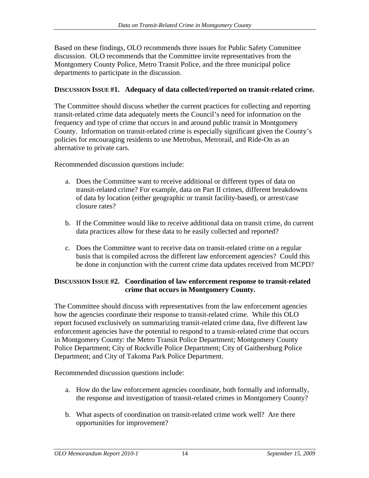Based on these findings, OLO recommends three issues for Public Safety Committee discussion. OLO recommends that the Committee invite representatives from the Montgomery County Police, Metro Transit Police, and the three municipal police departments to participate in the discussion.

#### **DISCUSSION ISSUE #1. Adequacy of data collected/reported on transit-related crime.**

The Committee should discuss whether the current practices for collecting and reporting transit-related crime data adequately meets the Council's need for information on the frequency and type of crime that occurs in and around public transit in Montgomery County. Information on transit-related crime is especially significant given the County's policies for encouraging residents to use Metrobus, Metrorail, and Ride-On as an alternative to private cars.

Recommended discussion questions include:

- a. Does the Committee want to receive additional or different types of data on transit-related crime? For example, data on Part II crimes, different breakdowns of data by location (either geographic or transit facility-based), or arrest/case closure rates?
- b. If the Committee would like to receive additional data on transit crime, do current data practices allow for these data to be easily collected and reported?
- c. Does the Committee want to receive data on transit-related crime on a regular basis that is compiled across the different law enforcement agencies? Could this be done in conjunction with the current crime data updates received from MCPD?

## **DISCUSSION ISSUE #2. Coordination of law enforcement response to transit-related crime that occurs in Montgomery County.**

The Committee should discuss with representatives from the law enforcement agencies how the agencies coordinate their response to transit-related crime. While this OLO report focused exclusively on summarizing transit-related crime data, five different law enforcement agencies have the potential to respond to a transit-related crime that occurs in Montgomery County: the Metro Transit Police Department; Montgomery County Police Department; City of Rockville Police Department; City of Gaithersburg Police Department; and City of Takoma Park Police Department.

Recommended discussion questions include:

- a. How do the law enforcement agencies coordinate, both formally and informally, the response and investigation of transit-related crimes in Montgomery County?
- b. What aspects of coordination on transit-related crime work well? Are there opportunities for improvement?